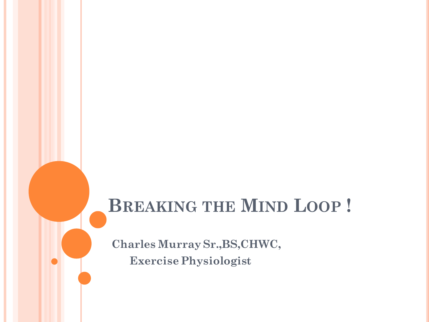## **BREAKING THE MIND LOOP !**

**Charles Murray Sr.,BS,CHWC, Exercise Physiologist**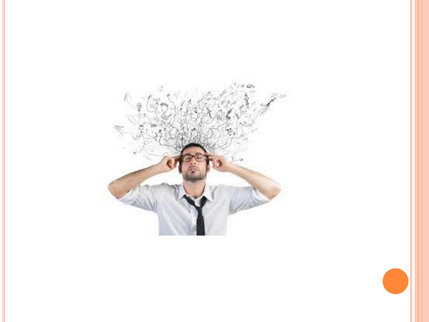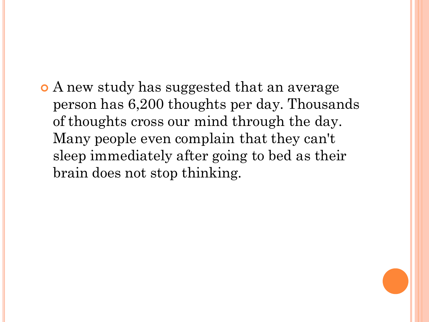A new study has suggested that an average person has 6,200 thoughts per day. Thousands of thoughts cross our mind through the day. Many people even complain that they can't sleep immediately after going to bed as their brain does not stop thinking.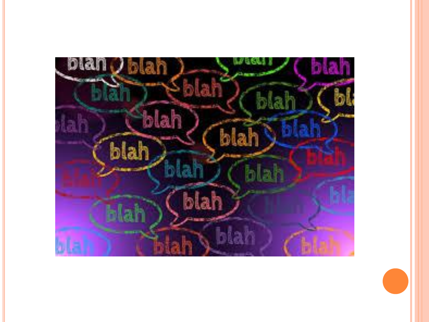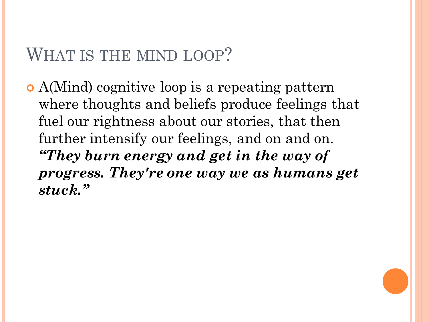## WHAT IS THE MIND LOOP?

 A(Mind) cognitive loop is a repeating pattern where thoughts and beliefs produce feelings that fuel our rightness about our stories, that then further intensify our feelings, and on and on. *"They burn energy and get in the way of progress. They're one way we as humans get stuck."*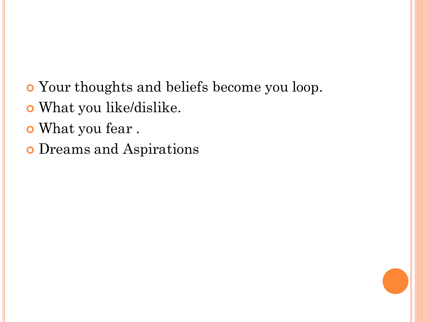- Your thoughts and beliefs become you loop.
- What you like/dislike.
- What you fear .
- Dreams and Aspirations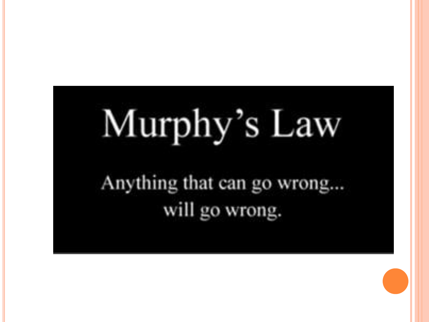# Murphy's Law Anything that can go wrong... will go wrong.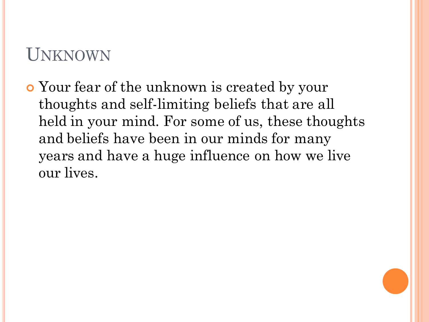## UNKNOWN

• Your fear of the unknown is created by your thoughts and self-limiting beliefs that are all held in your mind. For some of us, these thoughts and beliefs have been in our minds for many years and have a huge influence on how we live our lives.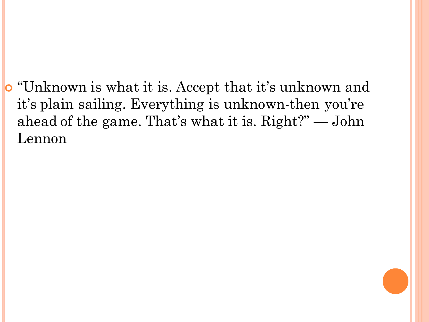"Unknown is what it is. Accept that it's unknown and it's plain sailing. Everything is unknown-then you're ahead of the game. That's what it is. Right?" — John Lennon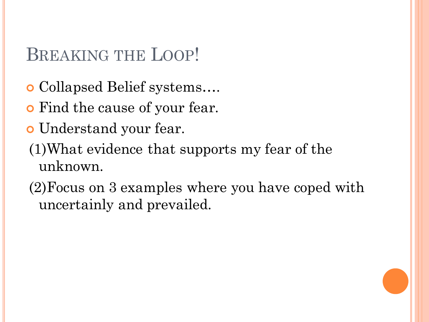# BREAKING THE LOOP!

- Collapsed Belief systems….
- Find the cause of your fear.
- Understand your fear.
- (1)What evidence that supports my fear of the unknown.
- (2)Focus on 3 examples where you have coped with uncertainly and prevailed.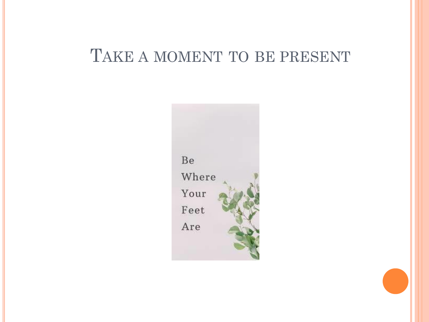## TAKE A MOMENT TO BE PRESENT

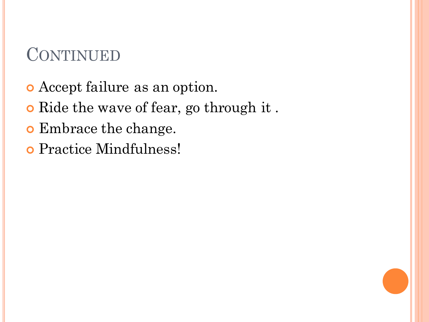# **CONTINUED**

- Accept failure as an option.
- Ride the wave of fear, go through it .
- **o** Embrace the change.
- Practice Mindfulness!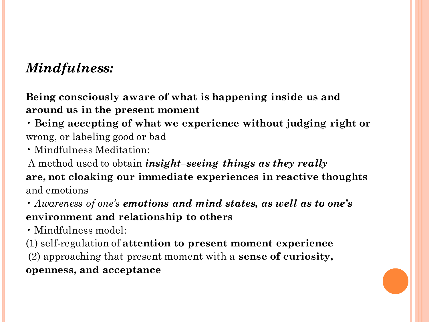#### *Mindfulness:*

**Being consciously aware of what is happening inside us and around us in the present moment**

• **Being accepting of what we experience without judging right or** wrong, or labeling good or bad

• Mindfulness Meditation:

A method used to obtain *insight–seeing things as they really* **are, not cloaking our immediate experiences in reactive thoughts** and emotions

• *Awareness of one's emotions and mind states, as well as to one's* **environment and relationship to others**

• Mindfulness model:

(1) self-regulation of **attention to present moment experience**

(2) approaching that present moment with a **sense of curiosity, openness, and acceptance**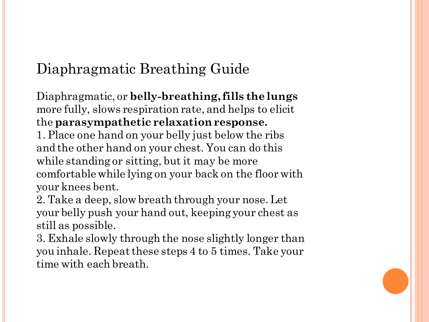### Diaphragmatic Breathing Guide

Diaphragmatic, or **belly-breathing, fills the lungs** more fully, slows respiration rate, and helps to elicit the **parasympathetic relaxation response.**

1. Place one hand on your belly just below the ribs and the other hand on your chest. You can do this while standing or sitting, but it may be more comfortable while lying on your back on the floor with your knees bent.

2. Take a deep, slow breath through your nose. Let your belly push your hand out, keeping your chest as still as possible.

3. Exhale slowly through the nose slightly longer than you inhale. Repeat these steps 4 to 5 times. Take your time with each breath.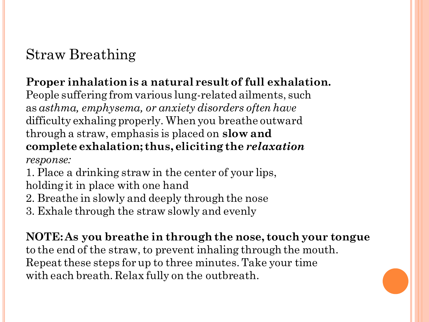### Straw Breathing

#### **Proper inhalation is a natural result of full exhalation.**

People suffering from various lung-related ailments, such as *asthma, emphysema, or anxiety disorders often have* difficulty exhaling properly. When you breathe outward through a straw, emphasis is placed on **slow and complete exhalation; thus, eliciting the** *relaxation*

*response:*

- 1. Place a drinking straw in the center of your lips, holding it in place with one hand
- 2. Breathe in slowly and deeply through the nose
- 3. Exhale through the straw slowly and evenly

**NOTE: As you breathe in through the nose, touch your tongue** to the end of the straw, to prevent inhaling through the mouth. Repeat these steps for up to three minutes. Take your time with each breath. Relax fully on the outbreath.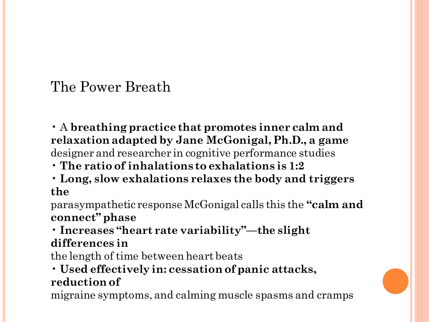## The Power Breath

• A **breathing practice that promotes inner calm and relaxation adapted by Jane McGonigal, Ph.D., a game** designer and researcher in cognitive performance studies

- **The ratio of inhalations to exhalations is 1:2**
- **Long, slow exhalations relaxes the body and triggers the**

parasympathetic response McGonigal calls this the **"calm and connect" phase**

• **Increases "heart rate variability"—the slight differences in**

the length of time between heart beats

#### • **Used effectively in: cessation of panic attacks, reduction of**

migraine symptoms, and calming muscle spasms and cramps